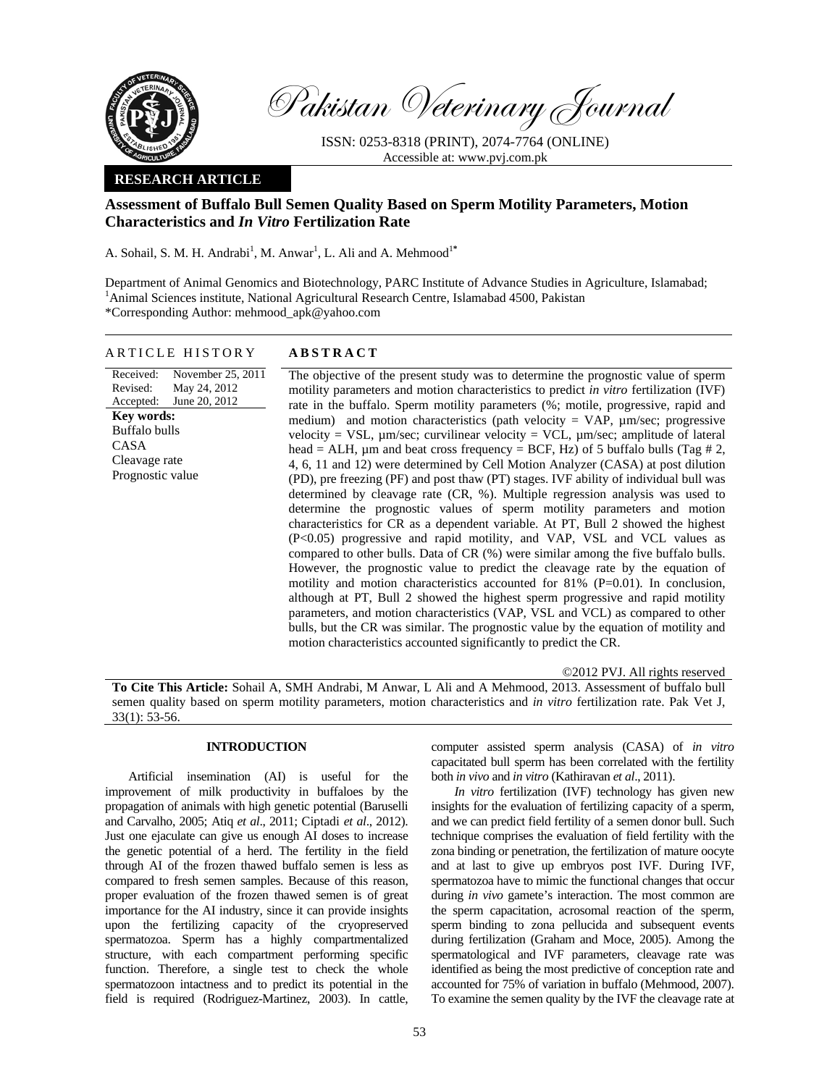

Pakistan Veterinary Journal

ISSN: 0253-8318 (PRINT), 2074-7764 (ONLINE) Accessible at: www.pvj.com.pk

# **RESEARCH ARTICLE**

# **Assessment of Buffalo Bull Semen Quality Based on Sperm Motility Parameters, Motion Characteristics and** *In Vitro* **Fertilization Rate**

A. Sohail, S. M. H. Andrabi<sup>1</sup>, M. Anwar<sup>1</sup>, L. Ali and A. Mehmood<sup>1\*</sup>

Department of Animal Genomics and Biotechnology, PARC Institute of Advance Studies in Agriculture, Islamabad; <sup>1</sup>Animal Sciences institute, National Agricultural Research Centre, Islamabad 4500, Pakistan \*Corresponding Author: mehmood\_apk@yahoo.com

### ARTICLE HISTORY **ABSTRACT**

Received: Revised: Accepted: November 25, 2011 May 24, 2012 June 20, 2012 **Key words:**  Buffalo bulls CASA Cleavage rate Prognostic value

The objective of the present study was to determine the prognostic value of sperm motility parameters and motion characteristics to predict *in vitro* fertilization (IVF) rate in the buffalo. Sperm motility parameters (%; motile, progressive, rapid and medium) and motion characteristics (path velocity  $=$  VAP,  $\mu$ m/sec; progressive velocity = VSL,  $\mu$ m/sec; curvilinear velocity = VCL,  $\mu$ m/sec; amplitude of lateral head = ALH,  $\mu$ m and beat cross frequency = BCF, Hz) of 5 buffalo bulls (Tag # 2, 4, 6, 11 and 12) were determined by Cell Motion Analyzer (CASA) at post dilution (PD), pre freezing (PF) and post thaw (PT) stages. IVF ability of individual bull was determined by cleavage rate (CR, %). Multiple regression analysis was used to determine the prognostic values of sperm motility parameters and motion characteristics for CR as a dependent variable. At PT, Bull 2 showed the highest (P<0.05) progressive and rapid motility, and VAP, VSL and VCL values as compared to other bulls. Data of CR (%) were similar among the five buffalo bulls. However, the prognostic value to predict the cleavage rate by the equation of motility and motion characteristics accounted for  $81\%$  (P=0.01). In conclusion, although at PT, Bull 2 showed the highest sperm progressive and rapid motility parameters, and motion characteristics (VAP, VSL and VCL) as compared to other bulls, but the CR was similar. The prognostic value by the equation of motility and motion characteristics accounted significantly to predict the CR.

©2012 PVJ. All rights reserved

**To Cite This Article:** Sohail A, SMH Andrabi, M Anwar, L Ali and A Mehmood, 2013. Assessment of buffalo bull semen quality based on sperm motility parameters, motion characteristics and *in vitro* fertilization rate. Pak Vet J, 33(1): 53-56.

# **INTRODUCTION**

Artificial insemination (AI) is useful for the improvement of milk productivity in buffaloes by the propagation of animals with high genetic potential (Baruselli and Carvalho, 2005; Atiq *et al*., 2011; Ciptadi *et al*., 2012). Just one ejaculate can give us enough AI doses to increase the genetic potential of a herd. The fertility in the field through AI of the frozen thawed buffalo semen is less as compared to fresh semen samples. Because of this reason, proper evaluation of the frozen thawed semen is of great importance for the AI industry, since it can provide insights upon the fertilizing capacity of the cryopreserved spermatozoa. Sperm has a highly compartmentalized structure, with each compartment performing specific function. Therefore, a single test to check the whole spermatozoon intactness and to predict its potential in the field is required (Rodriguez-Martinez, 2003). In cattle,

computer assisted sperm analysis (CASA) of *in vitro* capacitated bull sperm has been correlated with the fertility both *in vivo* and *in vitro* (Kathiravan *et al*., 2011).

*In vitro* fertilization (IVF) technology has given new insights for the evaluation of fertilizing capacity of a sperm, and we can predict field fertility of a semen donor bull. Such technique comprises the evaluation of field fertility with the zona binding or penetration, the fertilization of mature oocyte and at last to give up embryos post IVF. During IVF, spermatozoa have to mimic the functional changes that occur during *in vivo* gamete's interaction. The most common are the sperm capacitation, acrosomal reaction of the sperm, sperm binding to zona pellucida and subsequent events during fertilization (Graham and Moce, 2005). Among the spermatological and IVF parameters, cleavage rate was identified as being the most predictive of conception rate and accounted for 75% of variation in buffalo (Mehmood, 2007). To examine the semen quality by the IVF the cleavage rate at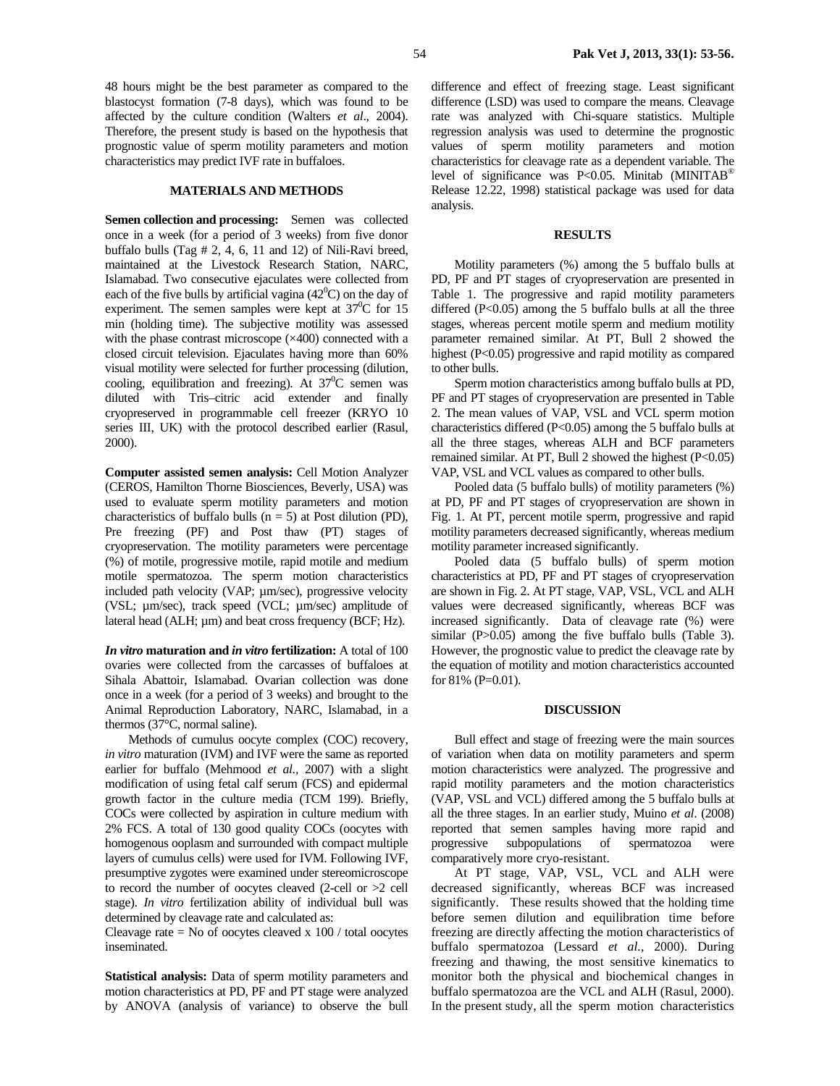48 hours might be the best parameter as compared to the blastocyst formation (7-8 days), which was found to be affected by the culture condition (Walters *et al*., 2004). Therefore, the present study is based on the hypothesis that prognostic value of sperm motility parameters and motion characteristics may predict IVF rate in buffaloes.

### **MATERIALS AND METHODS**

**Semen collection and processing:** Semen was collected once in a week (for a period of 3 weeks) from five donor buffalo bulls (Tag # 2, 4, 6, 11 and 12) of Nili-Ravi breed, maintained at the Livestock Research Station, NARC, Islamabad. Two consecutive ejaculates were collected from each of the five bulls by artificial vagina  $(42^0C)$  on the day of experiment. The semen samples were kept at  $37^0C$  for 15 min (holding time). The subjective motility was assessed with the phase contrast microscope (×400) connected with a closed circuit television. Ejaculates having more than 60% visual motility were selected for further processing (dilution, cooling, equilibration and freezing). At  $37^0C$  semen was diluted with Tris–citric acid extender and finally cryopreserved in programmable cell freezer (KRYO 10 series III, UK) with the protocol described earlier (Rasul, 2000).

**Computer assisted semen analysis:** Cell Motion Analyzer (CEROS, Hamilton Thorne Biosciences, Beverly, USA) was used to evaluate sperm motility parameters and motion characteristics of buffalo bulls  $(n = 5)$  at Post dilution (PD), Pre freezing (PF) and Post thaw (PT) stages of cryopreservation. The motility parameters were percentage (%) of motile, progressive motile, rapid motile and medium motile spermatozoa. The sperm motion characteristics included path velocity (VAP; µm/sec), progressive velocity (VSL; µm/sec), track speed (VCL; µm/sec) amplitude of lateral head (ALH; µm) and beat cross frequency (BCF; Hz).

*In vitro* **maturation and** *in vitro* **fertilization:** A total of 100 ovaries were collected from the carcasses of buffaloes at Sihala Abattoir, Islamabad. Ovarian collection was done once in a week (for a period of 3 weeks) and brought to the Animal Reproduction Laboratory, NARC, Islamabad, in a thermos (37°C, normal saline).

Methods of cumulus oocyte complex (COC) recovery, *in vitro* maturation (IVM) and IVF were the same as reported earlier for buffalo (Mehmood *et al.,* 2007) with a slight modification of using fetal calf serum (FCS) and epidermal growth factor in the culture media (TCM 199). Briefly, COCs were collected by aspiration in culture medium with 2% FCS. A total of 130 good quality COCs (oocytes with homogenous ooplasm and surrounded with compact multiple layers of cumulus cells) were used for IVM. Following IVF, presumptive zygotes were examined under stereomicroscope to record the number of oocytes cleaved (2-cell or >2 cell stage). *In vitro* fertilization ability of individual bull was determined by cleavage rate and calculated as:

Cleavage rate  $=$  No of oocytes cleaved x 100 / total oocytes inseminated.

**Statistical analysis:** Data of sperm motility parameters and motion characteristics at PD, PF and PT stage were analyzed by ANOVA (analysis of variance) to observe the bull difference and effect of freezing stage. Least significant difference (LSD) was used to compare the means. Cleavage rate was analyzed with Chi-square statistics. Multiple regression analysis was used to determine the prognostic values of sperm motility parameters and motion characteristics for cleavage rate as a dependent variable. The level of significance was P<0.05. Minitab (MINITAB<sup>®</sup> Release 12.22, 1998) statistical package was used for data analysis.

### **RESULTS**

Motility parameters (%) among the 5 buffalo bulls at PD, PF and PT stages of cryopreservation are presented in Table 1. The progressive and rapid motility parameters differed (P<0.05) among the 5 buffalo bulls at all the three stages, whereas percent motile sperm and medium motility parameter remained similar. At PT, Bull 2 showed the highest (P<0.05) progressive and rapid motility as compared to other bulls.

Sperm motion characteristics among buffalo bulls at PD, PF and PT stages of cryopreservation are presented in Table 2. The mean values of VAP, VSL and VCL sperm motion characteristics differed (P<0.05) among the 5 buffalo bulls at all the three stages, whereas ALH and BCF parameters remained similar. At PT, Bull 2 showed the highest (P<0.05) VAP, VSL and VCL values as compared to other bulls.

Pooled data (5 buffalo bulls) of motility parameters (%) at PD, PF and PT stages of cryopreservation are shown in Fig. 1. At PT, percent motile sperm, progressive and rapid motility parameters decreased significantly, whereas medium motility parameter increased significantly.

Pooled data (5 buffalo bulls) of sperm motion characteristics at PD, PF and PT stages of cryopreservation are shown in Fig. 2. At PT stage, VAP, VSL, VCL and ALH values were decreased significantly, whereas BCF was increased significantly. Data of cleavage rate (%) were similar (P $>0.05$ ) among the five buffalo bulls (Table 3). However, the prognostic value to predict the cleavage rate by the equation of motility and motion characteristics accounted for 81% (P=0.01).

### **DISCUSSION**

Bull effect and stage of freezing were the main sources of variation when data on motility parameters and sperm motion characteristics were analyzed. The progressive and rapid motility parameters and the motion characteristics (VAP, VSL and VCL) differed among the 5 buffalo bulls at all the three stages. In an earlier study, Muino *et al*. (2008) reported that semen samples having more rapid and progressive subpopulations of spermatozoa were comparatively more cryo-resistant.

At PT stage, VAP, VSL, VCL and ALH were decreased significantly, whereas BCF was increased significantly. These results showed that the holding time before semen dilution and equilibration time before freezing are directly affecting the motion characteristics of buffalo spermatozoa (Lessard *et al.,* 2000). During freezing and thawing, the most sensitive kinematics to monitor both the physical and biochemical changes in buffalo spermatozoa are the VCL and ALH (Rasul, 2000). In the present study, all the sperm motion characteristics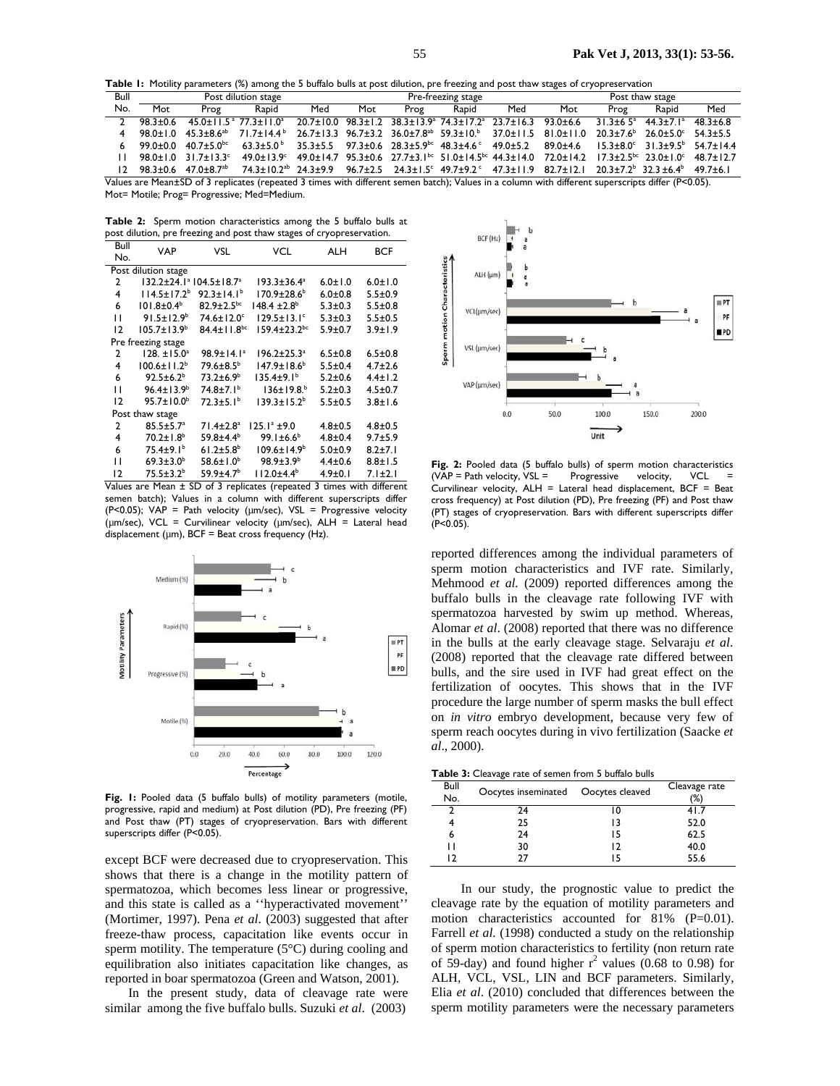**Table 1:** Motility parameters (%) among the 5 buffalo bulls at post dilution, pre freezing and post thaw stages of cryopreservation

| Bull                                                                                                                                              | Post dilution stage |                                                       |                                                                                                                                                                                                     | Pre-freezing stage |     |      |                                                                                                                                                                                                           | Post thaw stage |     |      |       |              |
|---------------------------------------------------------------------------------------------------------------------------------------------------|---------------------|-------------------------------------------------------|-----------------------------------------------------------------------------------------------------------------------------------------------------------------------------------------------------|--------------------|-----|------|-----------------------------------------------------------------------------------------------------------------------------------------------------------------------------------------------------------|-----------------|-----|------|-------|--------------|
| No.                                                                                                                                               | Mot                 | Prog                                                  | Rapid                                                                                                                                                                                               | Med                | Mot | Prog | Rapid                                                                                                                                                                                                     | Med             | Mot | Prog | Rapid | Med          |
| $\mathcal{P}$                                                                                                                                     | 98.3+0.6            |                                                       | $45.0 + 11.5$ <sup>a</sup> 77.3 + 11.0 <sup>a</sup>                                                                                                                                                 |                    |     |      | $\frac{20.7 \pm 10.0}{26.7 \pm 10.0}$ 98.3 $\pm$ 1.2 38.3 $\pm$ 13.9 $\textdegree$ 74.3 $\pm$ 17.2 $\textdegree$ 23.7 $\pm$ 16.3 93.0 $\pm$ 6.6 31.3 $\pm$ 6.5 $\textdegree$ 44.3 $\pm$ 7.1 $\textdegree$ |                 |     |      |       | $48.3 + 6.8$ |
|                                                                                                                                                   |                     |                                                       | $98.0 \pm 1.0$ $45.3 \pm 8.6$ <sup>ab</sup> $71.7 \pm 14.4$ <sup>b</sup>                                                                                                                            |                    |     |      | $26.7\pm13.3$ 96.7 $\pm3.2$ 36.0 $\pm7.8$ <sup>ab</sup> 59.3 $\pm10.5$ 37.0 $\pm11.5$ 81.0 $\pm11.0$ 20.3 $\pm7.6$ <sup>b</sup> 26.0 $\pm5.0$ <sup>c</sup> 54.3 $\pm5.5$                                  |                 |     |      |       |              |
|                                                                                                                                                   |                     | 99.0±0.0 40.7±5.0 <sup>bc</sup> 63.3±5.0 <sup>b</sup> |                                                                                                                                                                                                     |                    |     |      | $35.3\pm5.5$ $97.3\pm0.6$ $28.3\pm5.9$ <sup>bc</sup> $48.3\pm4.6$ <sup>c</sup> $49.0\pm5.2$ $89.0\pm4.6$ $15.3\pm8.0$ <sup>c</sup> $31.3\pm9.5$ <sup>b</sup> $54.7\pm14.4$                                |                 |     |      |       |              |
|                                                                                                                                                   |                     |                                                       | 98.0±1.0 31.7±13.3° 49.0±13.9° 49.0±14.7 95.3±0.6 27.7±3.1 <sup>bc</sup> 51.0±14.5 <sup>bc</sup> 44.3±14.0 72.0±14.2 17.3±2.5 <sup>bc</sup> 23.0±1.0° 48.7±12.7                                     |                    |     |      |                                                                                                                                                                                                           |                 |     |      |       |              |
|                                                                                                                                                   |                     |                                                       | $12$ 98.3±0.6 47.0±8.7 <sup>ab</sup> 74.3±10.2 <sup>ab</sup> 24.3±9.9 96.7±2.5 24.3±1.5 <sup>c</sup> 49.7±9.2 <sup>c</sup> 47.3±11.9 82.7±12.1 20.3±7.2 <sup>b</sup> 32.3±6.4 <sup>b</sup> 49.7±6.1 |                    |     |      |                                                                                                                                                                                                           |                 |     |      |       |              |
| Values are Moan+SD of 3 replicatos (reported 3 times with different somen batch); Values in a solumn with different superscripts differ (R<0.05). |                     |                                                       |                                                                                                                                                                                                     |                    |     |      |                                                                                                                                                                                                           |                 |     |      |       |              |

ates (repeated 3 times with different semen batch); Values in a column with different superscripts differ (P<0.05). Mot= Motile; Prog= Progressive; Med=Medium.

**Table 2:** Sperm motion characteristics among the 5 buffalo bulls at post dilution, pre freezing and post thaw stages of cryopreservation.

| Bull                | VAP                         | VSL                           | VCL                            | ALH           | BCF           |  |  |
|---------------------|-----------------------------|-------------------------------|--------------------------------|---------------|---------------|--|--|
| No.                 |                             |                               |                                |               |               |  |  |
| Post dilution stage |                             |                               |                                |               |               |  |  |
| 2                   | 132.2±24.1ª 104.5±18.7ª     |                               | $193.3 \pm 36.4^a$             | $6.0 \pm 1.0$ | $6.0 \pm 1.0$ |  |  |
| 4                   | $114.5 \pm 17.2^b$          | $92.3 \pm 14.1^b$             | $170.9 \pm 28.6^{\circ}$       | $6.0 + 0.8$   | $5.5 \pm 0.9$ |  |  |
| 6                   | $101.8 \pm 0.4^{\circ}$     | $82.9 \pm 2.5$ <sub>bc</sub>  | $148.4 \pm 2.8^b$              | $5.3 \pm 0.3$ | $5.5 \pm 0.8$ |  |  |
| п                   | $91.5 \pm 12.9^b$           | $74.6 \pm 12.0$ <sup>c</sup>  | $129.5 \pm 13.1$ <sup>c</sup>  | $5.3 \pm 0.3$ | $5.5 \pm 0.5$ |  |  |
| 12                  | $105.7 \pm 13.9^b$          | $84.4 \pm 11.8$ <sup>bc</sup> | $159.4 \pm 23.2$ <sup>bc</sup> | $5.9 + 0.7$   | $3.9 + 1.9$   |  |  |
|                     | Pre freezing stage          |                               |                                |               |               |  |  |
| 2                   | $128. \pm 15.0^a$           | 98.9±14.1 <sup>a</sup>        | $196.2 \pm 25.3^a$             | $6.5 \pm 0.8$ | $6.5 \pm 0.8$ |  |  |
| 4                   | $100.6 \pm 11.2^b$          | 79.6±8.5 <sup>b</sup>         | $147.9 \pm 18.6^b$             | $5.5 \pm 0.4$ | $4.7 \pm 2.6$ |  |  |
| 6                   | $92.5 \pm 6.2^b$            | $73.2 \pm 6.9^b$              | $135.4 \pm 9.1^b$              | $5.2 + 0.6$   | $4.4 \pm 1.2$ |  |  |
| п                   | $96.4 \pm 13.9^b$           | $74.8 \pm 7.1^{\circ}$        | $136 \pm 19.8^{b}$             | $5.2 \pm 0.3$ | $4.5 \pm 0.7$ |  |  |
| 12                  | $95.7 \pm 10.0^b$           | $72.3 \pm 5.1^b$              | $139.3 \pm 15.2^b$             | $5.5 \pm 0.5$ | $3.8 \pm 1.6$ |  |  |
| Post thaw stage     |                             |                               |                                |               |               |  |  |
| 2                   | $85.5 \pm 5.7^{\circ}$      | $71.4 \pm 2.8$ <sup>a</sup>   | $125.1^a \pm 9.0$              | $4.8 \pm 0.5$ | $4.8 + 0.5$   |  |  |
| 4                   | $70.2 \pm 1.8$ <sup>b</sup> | $59.8 + 4.4^b$                | $99.1 \pm 6.6^b$               | $4.8 \pm 0.4$ | $9.7 + 5.9$   |  |  |
| 6                   | $75.4 \pm 9.1^b$            | $61.2 \pm 5.8$ <sup>b</sup>   | $109.6 \pm 14.9^b$             | $5.0 + 0.9$   | $8.2 + 7.1$   |  |  |
| п                   | $69.3 \pm 3.0^b$            | $58.6 \pm 1.0^b$              | $98.9 \pm 3.9^{\circ}$         | $4.4 \pm 0.6$ | $8.8 \pm 1.5$ |  |  |
| 12                  | $75.5 \pm 3.2^b$            | $59.9 + 4.7b$                 | $112.0 + 4.4^b$                | $4.9 \pm 0.1$ | $7.1 \pm 2.1$ |  |  |

Values are Mean ± SD of 3 replicates (repeated 3 times with different semen batch); Values in a column with different superscripts differ (P<0.05); VAP = Path velocity ( $\mu$ m/sec), VSL = Progressive velocity (µm/sec), VCL = Curvilinear velocity (µm/sec), ALH = Lateral head displacement ( $\mu$ m), BCF = Beat cross frequency (Hz).



Fig. 1: Pooled data (5 buffalo bulls) of motility parameters (motile, progressive, rapid and medium) at Post dilution (PD), Pre freezing (PF) and Post thaw (PT) stages of cryopreservation. Bars with different superscripts differ (P<0.05).

except BCF were decreased due to cryopreservation. This shows that there is a change in the motility pattern of spermatozoa, which becomes less linear or progressive, and this state is called as a ''hyperactivated movement'' (Mortimer, 1997). Pena *et al*. (2003) suggested that after freeze-thaw process, capacitation like events occur in sperm motility. The temperature (5°C) during cooling and equilibration also initiates capacitation like changes, as reported in boar spermatozoa (Green and Watson, 2001).

In the present study, data of cleavage rate were similar among the five buffalo bulls. Suzuki *et al*. (2003)



Fig. 2: Pooled data (5 buffalo bulls) of sperm motion characteristics  $(VAP = Path velocity, VSL = Progressive velocity, VCL$ Curvilinear velocity,  $ALH = Lateral$  head displacement,  $BCF = Beat$ cross frequency) at Post dilution (PD), Pre freezing (PF) and Post thaw (PT) stages of cryopreservation. Bars with different superscripts differ (P<0.05).

reported differences among the individual parameters of sperm motion characteristics and IVF rate. Similarly, Mehmood *et al.* (2009) reported differences among the buffalo bulls in the cleavage rate following IVF with spermatozoa harvested by swim up method. Whereas, Alomar *et al*. (2008) reported that there was no difference in the bulls at the early cleavage stage. Selvaraju *et al*. (2008) reported that the cleavage rate differed between bulls, and the sire used in IVF had great effect on the fertilization of oocytes. This shows that in the IVF procedure the large number of sperm masks the bull effect on *in vitro* embryo development, because very few of sperm reach oocytes during in vivo fertilization (Saacke *et al*., 2000).

**Table 3:** Cleavage rate of semen from 5 buffalo bulls

| Bull<br>No. | Oocytes inseminated  Oocytes cleaved |    | Cleavage rate<br>$(\%)$ |
|-------------|--------------------------------------|----|-------------------------|
| 2           | 24                                   |    | 41.7                    |
|             | 25                                   |    | 52.0                    |
| 6           | 24                                   | 15 | 62.5                    |
| ו ו         | 30                                   | 12 | 40.0                    |
| ר ו         | 77                                   |    | 55.6                    |

 In our study, the prognostic value to predict the cleavage rate by the equation of motility parameters and motion characteristics accounted for 81% (P=0.01). Farrell *et al.* (1998) conducted a study on the relationship of sperm motion characteristics to fertility (non return rate of 59-day) and found higher  $r^2$  values (0.68 to 0.98) for ALH, VCL, VSL, LIN and BCF parameters. Similarly, Elia *et al*. (2010) concluded that differences between the sperm motility parameters were the necessary parameters